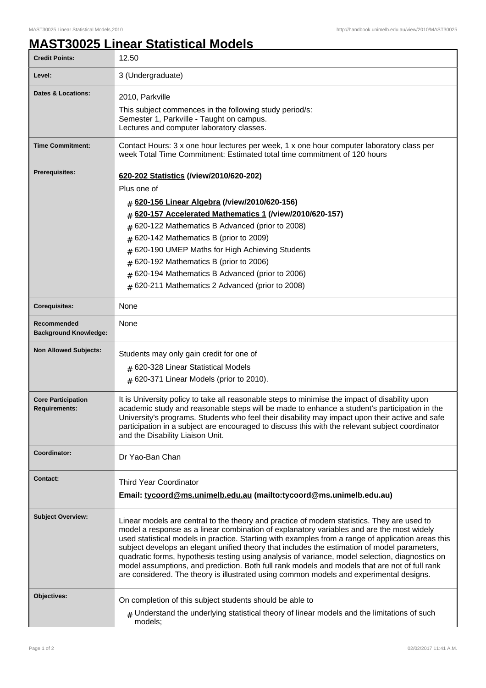## **MAST30025 Linear Statistical Models**

| <b>Credit Points:</b>                             | 12.50                                                                                                                                                                                                                                                                                                                                                                                                                                                                                                                                                                                                                                                                                         |
|---------------------------------------------------|-----------------------------------------------------------------------------------------------------------------------------------------------------------------------------------------------------------------------------------------------------------------------------------------------------------------------------------------------------------------------------------------------------------------------------------------------------------------------------------------------------------------------------------------------------------------------------------------------------------------------------------------------------------------------------------------------|
| Level:                                            | 3 (Undergraduate)                                                                                                                                                                                                                                                                                                                                                                                                                                                                                                                                                                                                                                                                             |
| <b>Dates &amp; Locations:</b>                     | 2010, Parkville<br>This subject commences in the following study period/s:<br>Semester 1, Parkville - Taught on campus.<br>Lectures and computer laboratory classes.                                                                                                                                                                                                                                                                                                                                                                                                                                                                                                                          |
| <b>Time Commitment:</b>                           | Contact Hours: 3 x one hour lectures per week, 1 x one hour computer laboratory class per<br>week Total Time Commitment: Estimated total time commitment of 120 hours                                                                                                                                                                                                                                                                                                                                                                                                                                                                                                                         |
| <b>Prerequisites:</b>                             | 620-202 Statistics (/view/2010/620-202)<br>Plus one of<br># 620-156 Linear Algebra (/view/2010/620-156)<br>620-157 Accelerated Mathematics 1 (/view/2010/620-157)<br>#<br>620-122 Mathematics B Advanced (prior to 2008)<br>#<br>620-142 Mathematics B (prior to 2009)<br>#<br>620-190 UMEP Maths for High Achieving Students<br>#<br>620-192 Mathematics B (prior to 2006)<br>#<br>620-194 Mathematics B Advanced (prior to 2006)<br>#<br># 620-211 Mathematics 2 Advanced (prior to 2008)                                                                                                                                                                                                   |
| <b>Corequisites:</b>                              | None                                                                                                                                                                                                                                                                                                                                                                                                                                                                                                                                                                                                                                                                                          |
| Recommended<br><b>Background Knowledge:</b>       | None                                                                                                                                                                                                                                                                                                                                                                                                                                                                                                                                                                                                                                                                                          |
| <b>Non Allowed Subjects:</b>                      | Students may only gain credit for one of<br>$#$ 620-328 Linear Statistical Models<br>$#$ 620-371 Linear Models (prior to 2010).                                                                                                                                                                                                                                                                                                                                                                                                                                                                                                                                                               |
| <b>Core Participation</b><br><b>Requirements:</b> | It is University policy to take all reasonable steps to minimise the impact of disability upon<br>academic study and reasonable steps will be made to enhance a student's participation in the<br>University's programs. Students who feel their disability may impact upon their active and safe<br>participation in a subject are encouraged to discuss this with the relevant subject coordinator<br>and the Disability Liaison Unit.                                                                                                                                                                                                                                                      |
| Coordinator:                                      | Dr Yao-Ban Chan                                                                                                                                                                                                                                                                                                                                                                                                                                                                                                                                                                                                                                                                               |
| <b>Contact:</b>                                   | <b>Third Year Coordinator</b><br>Email: tycoord@ms.unimelb.edu.au (mailto:tycoord@ms.unimelb.edu.au)                                                                                                                                                                                                                                                                                                                                                                                                                                                                                                                                                                                          |
| <b>Subject Overview:</b>                          | Linear models are central to the theory and practice of modern statistics. They are used to<br>model a response as a linear combination of explanatory variables and are the most widely<br>used statistical models in practice. Starting with examples from a range of application areas this<br>subject develops an elegant unified theory that includes the estimation of model parameters,<br>quadratic forms, hypothesis testing using analysis of variance, model selection, diagnostics on<br>model assumptions, and prediction. Both full rank models and models that are not of full rank<br>are considered. The theory is illustrated using common models and experimental designs. |
| Objectives:                                       | On completion of this subject students should be able to<br>$_{\#}$ Understand the underlying statistical theory of linear models and the limitations of such<br>models;                                                                                                                                                                                                                                                                                                                                                                                                                                                                                                                      |